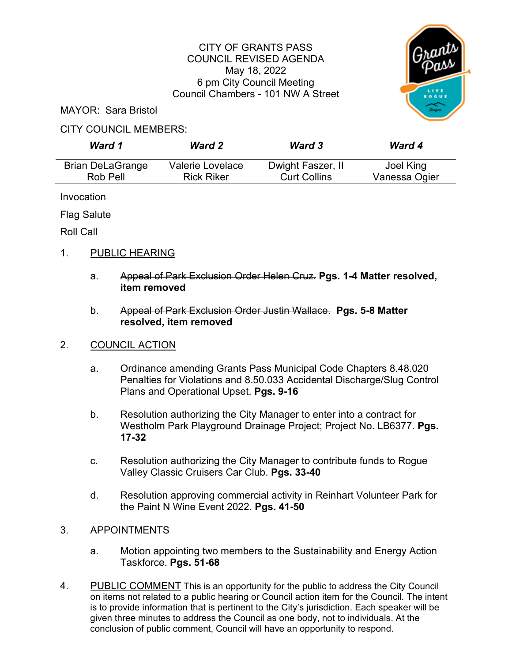#### CITY OF GRANTS PASS COUNCIL REVISED AGENDA May 18, 2022 6 pm City Council Meeting Council Chambers - 101 NW A Street



MAYOR: Sara Bristol

#### CITY COUNCIL MEMBERS:

| Ward 1                  | <b>Ward 2</b>     | <b>Ward 3</b>       | <b>Ward 4</b> |
|-------------------------|-------------------|---------------------|---------------|
| <b>Brian DeLaGrange</b> | Valerie Lovelace  | Dwight Faszer, II   | Joel King     |
| Rob Pell                | <b>Rick Riker</b> | <b>Curt Collins</b> | Vanessa Ogier |

Invocation

Flag Salute

Roll Call

# 1. PUBLIC HEARING

- a. Appeal of Park Exclusion Order Helen Cruz. **Pgs. 1-4 Matter resolved, item removed**
- b. Appeal of Park Exclusion Order Justin Wallace. **Pgs. 5-8 Matter resolved, item removed**

# 2. COUNCIL ACTION

- a. Ordinance amending Grants Pass Municipal Code Chapters 8.48.020 Penalties for Violations and 8.50.033 Accidental Discharge/Slug Control Plans and Operational Upset. **Pgs. 9-16**
- b. Resolution authorizing the City Manager to enter into a contract for Westholm Park Playground Drainage Project; Project No. LB6377. **Pgs. 17-32**
- c. Resolution authorizing the City Manager to contribute funds to Rogue Valley Classic Cruisers Car Club. **Pgs. 33-40**
- d. Resolution approving commercial activity in Reinhart Volunteer Park for the Paint N Wine Event 2022. **Pgs. 41-50**

# 3. APPOINTMENTS

- a. Motion appointing two members to the Sustainability and Energy Action Taskforce. **Pgs. 51-68**
- 4. PUBLIC COMMENT This is an opportunity for the public to address the City Council on items not related to a public hearing or Council action item for the Council. The intent is to provide information that is pertinent to the City's jurisdiction. Each speaker will be given three minutes to address the Council as one body, not to individuals. At the conclusion of public comment, Council will have an opportunity to respond.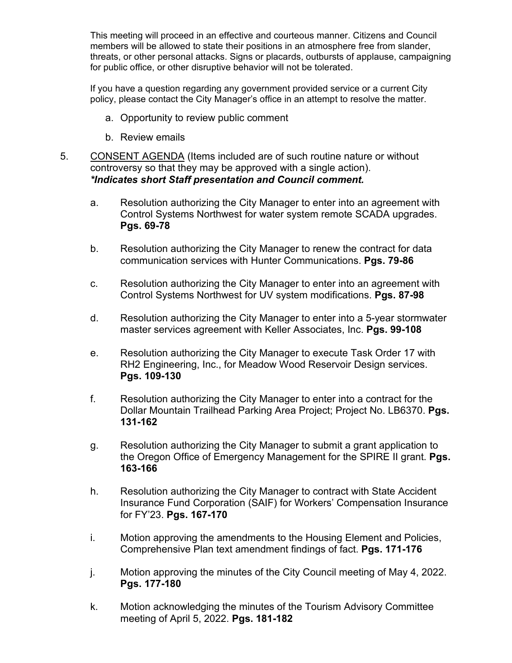This meeting will proceed in an effective and courteous manner. Citizens and Council members will be allowed to state their positions in an atmosphere free from slander, threats, or other personal attacks. Signs or placards, outbursts of applause, campaigning for public office, or other disruptive behavior will not be tolerated.

If you have a question regarding any government provided service or a current City policy, please contact the City Manager's office in an attempt to resolve the matter.

- a. Opportunity to review public comment
- b. Review emails
- 5. CONSENT AGENDA (Items included are of such routine nature or without controversy so that they may be approved with a single action). *\*Indicates short Staff presentation and Council comment.* 
	- a. Resolution authorizing the City Manager to enter into an agreement with Control Systems Northwest for water system remote SCADA upgrades. **Pgs. 69-78**
	- b. Resolution authorizing the City Manager to renew the contract for data communication services with Hunter Communications. **Pgs. 79-86**
	- c. Resolution authorizing the City Manager to enter into an agreement with Control Systems Northwest for UV system modifications. **Pgs. 87-98**
	- d. Resolution authorizing the City Manager to enter into a 5-year stormwater master services agreement with Keller Associates, Inc. **Pgs. 99-108**
	- e. Resolution authorizing the City Manager to execute Task Order 17 with RH2 Engineering, Inc., for Meadow Wood Reservoir Design services. **Pgs. 109-130**
	- f. Resolution authorizing the City Manager to enter into a contract for the Dollar Mountain Trailhead Parking Area Project; Project No. LB6370. **Pgs. 131-162**
	- g. Resolution authorizing the City Manager to submit a grant application to the Oregon Office of Emergency Management for the SPIRE II grant. **Pgs. 163-166**
	- h. Resolution authorizing the City Manager to contract with State Accident Insurance Fund Corporation (SAIF) for Workers' Compensation Insurance for FY'23. **Pgs. 167-170**
	- i. Motion approving the amendments to the Housing Element and Policies, Comprehensive Plan text amendment findings of fact. **Pgs. 171-176**
	- j. Motion approving the minutes of the City Council meeting of May 4, 2022. **Pgs. 177-180**
	- k. Motion acknowledging the minutes of the Tourism Advisory Committee meeting of April 5, 2022. **Pgs. 181-182**